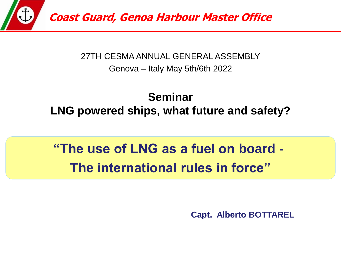

### 27TH CESMA ANNUAL GENERAL ASSEMBLY Genova – Italy May 5th/6th 2022

## **Seminar LNG powered ships, what future and safety?**

# **"The use of LNG as a fuel on board - The international rules in force"**

**Capt. Alberto BOTTAREL**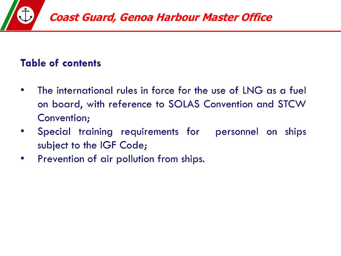

### **Table of contents**

- The international rules in force for the use of LNG as a fuel  $\bullet$ on board, with reference to SOLAS Convention and STCW Convention;
- Special training requirements for personnel on ships  $\bullet$ subject to the IGF Code;
- Prevention of air pollution from ships.  $\bullet$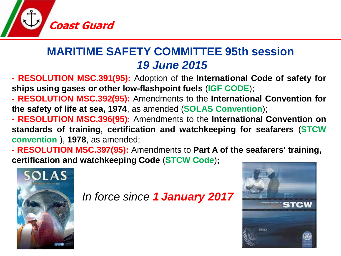

## **MARITIME SAFETY COMMITTEE 95th session** *19 June 2015*

**- RESOLUTION MSC.391(95):** Adoption of the **International Code of safety for ships using gases or other low-flashpoint fuels** (**IGF CODE**);

**- RESOLUTION MSC.392(95):** Amendments to the **International Convention for the safety of life at sea, 1974**, as amended (**SOLAS Convention**);

**- RESOLUTION MSC.396(95):** Amendments to the **International Convention on standards of training, certification and watchkeeping for seafarers** (**STCW convention** ), **1978**, as amended;

**- RESOLUTION MSC.397(95):** Amendments to **Part A of the seafarers' training, certification and watchkeeping Code** (**STCW Code**)**;**



*In force since 1 January 2017*

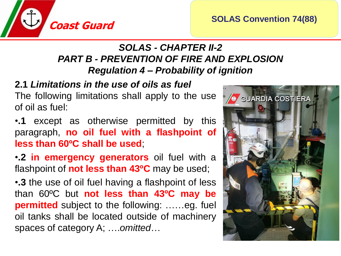

### *SOLAS - CHAPTER II-2 PART B - PREVENTION OF FIRE AND EXPLOSION Regulation 4 – Probability of ignition*

### **2.1** *Limitations in the use of oils as fuel*

The following limitations shall apply to the use of oil as fuel:

•**.1** except as otherwise permitted by this paragraph, **no oil fuel with a flashpoint of less than 60ºC shall be used**;

•**.2 in emergency generators** oil fuel with a flashpoint of **not less than 43ºC** may be used;

•**.3** the use of oil fuel having a flashpoint of less than 60ºC but **not less than 43ºC may be permitted** subject to the following: ……eg. fuel oil tanks shall be located outside of machinery spaces of category A; ….*omitted*…

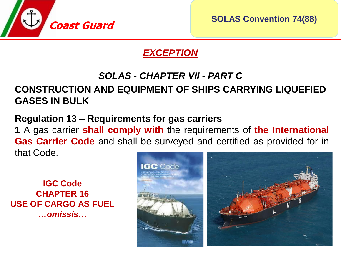

**SOLAS Convention 74(88)**

### *EXCEPTION*

#### *SOLAS - CHAPTER VII - PART C*

### **CONSTRUCTION AND EQUIPMENT OF SHIPS CARRYING LIQUEFIED GASES IN BULK**

### **Regulation 13 – Requirements for gas carriers**

**1** A gas carrier **shall comply with** the requirements of **the International Gas Carrier Code** and shall be surveyed and certified as provided for in that Code.

**IGC Code CHAPTER 16 USE OF CARGO AS FUEL** *…omissis…*

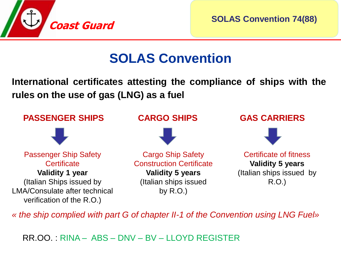

**SOLAS Convention 74(88)**

# **SOLAS Convention**

**International certificates attesting the compliance of ships with the rules on the use of gas (LNG) as a fuel**



*« the ship complied with part G of chapter II-1 of the Convention using LNG Fuel»*

RR.OO. : RINA – ABS – DNV – BV – LLOYD REGISTER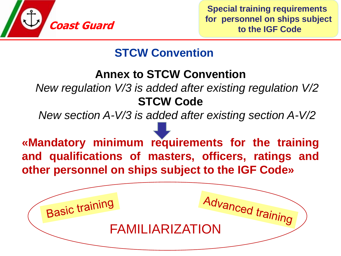

**Basic training** 

## **STCW Convention**

## **Annex to STCW Convention**

*New regulation V/3 is added after existing regulation V/2* **STCW Code**

*New section A-V/3 is added after existing section A-V/2*

**«Mandatory minimum requirements for the training and qualifications of masters, officers, ratings and other personnel on ships subject to the IGF Code»**

anced training<br>FAMILIARIZATION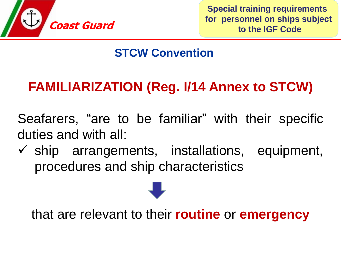

## **STCW Convention**

# **FAMILIARIZATION (Reg. I/14 Annex to STCW)**

Seafarers, "are to be familiar" with their specific duties and with all:

 $\checkmark$  ship arrangements, installations, equipment, procedures and ship characteristics

that are relevant to their **routine** or **emergency**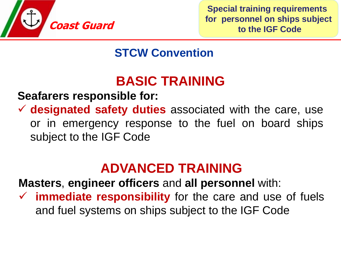

**Special training requirements for personnel on ships subject to the IGF Code**

## **STCW Convention**

# **BASIC TRAINING**

**Seafarers responsible for:**

✓ **designated safety duties** associated with the care, use or in emergency response to the fuel on board ships subject to the IGF Code

# **ADVANCED TRAINING**

**Masters**, **engineer officers** and **all personnel** with:

✓ **immediate responsibility** for the care and use of fuels and fuel systems on ships subject to the IGF Code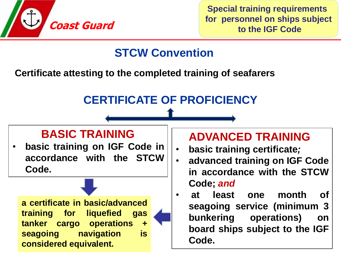

## **STCW Convention**

**Certificate attesting to the completed training of seafarers**

## **CERTIFICATE OF PROFICIENCY**

### **BASIC TRAINING**

• **basic training on IGF Code in accordance with the STCW Code.**

**a certificate in basic/advanced training for liquefied gas tanker cargo operations + seagoing navigation is considered equivalent.**

## **ADVANCED TRAINING**

- **basic training certificate***;*
- **advanced training on IGF Code in accordance with the STCW Code;** *and*
- **at least one month of seagoing service (minimum 3 bunkering operations) on board ships subject to the IGF Code.**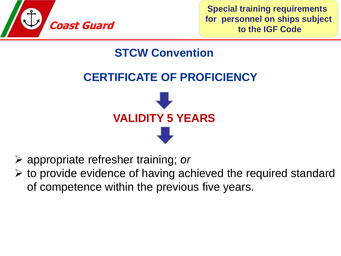

**Special training requirements for personnel on ships subject to the IGF Code**

## **STCW Convention**

## **CERTIFICATE OF PROFICIENCY**



- ➢ appropriate refresher training; *or*
- $\triangleright$  to provide evidence of having achieved the required standard of competence within the previous five years.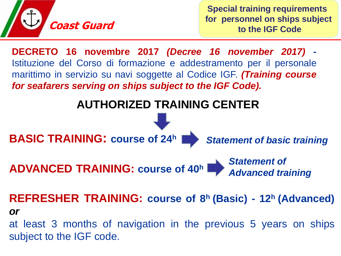

**Special training requirements for personnel on ships subject to the IGF Code**

**DECRETO 16 novembre 2017** *(Decree 16 november 2017)* **-** Istituzione del Corso di formazione e addestramento per il personale marittimo in servizio su navi soggette al Codice IGF. *(Training course for seafarers serving on ships subject to the IGF Code).*

## **AUTHORIZED TRAINING CENTER**



**REFRESHER TRAINING: course of 8 <sup>h</sup> (Basic) - 12<sup>h</sup> (Advanced)** *or* at least 3 months of navigation in the previous 5 years on ships

subject to the IGF code.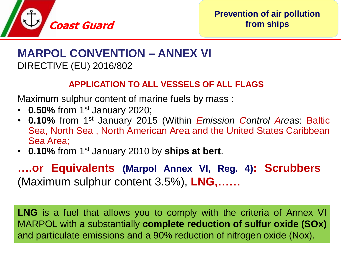

### **MARPOL CONVENTION – ANNEX VI** DIRECTIVE (EU) 2016/802

#### **APPLICATION TO ALL VESSELS OF ALL FLAGS**

Maximum sulphur content of marine fuels by mass :

- **0.50%** from 1<sup>st</sup> January 2020;
- **0.10%** from 1 st January 2015 (Within *Emission Control Areas*: Baltic Sea, North Sea , North American Area and the United States Caribbean Sea Area;
- **0.10%** from 1 st January 2010 by **ships at bert**.

**….or Equivalents (Marpol Annex VI, Reg. 4): Scrubbers** (Maximum sulphur content 3.5%), **LNG,……**

**LNG** is a fuel that allows you to comply with the criteria of Annex VI MARPOL with a substantially **complete reduction of sulfur oxide (SOx)** and particulate emissions and a 90% reduction of nitrogen oxide (Nox).